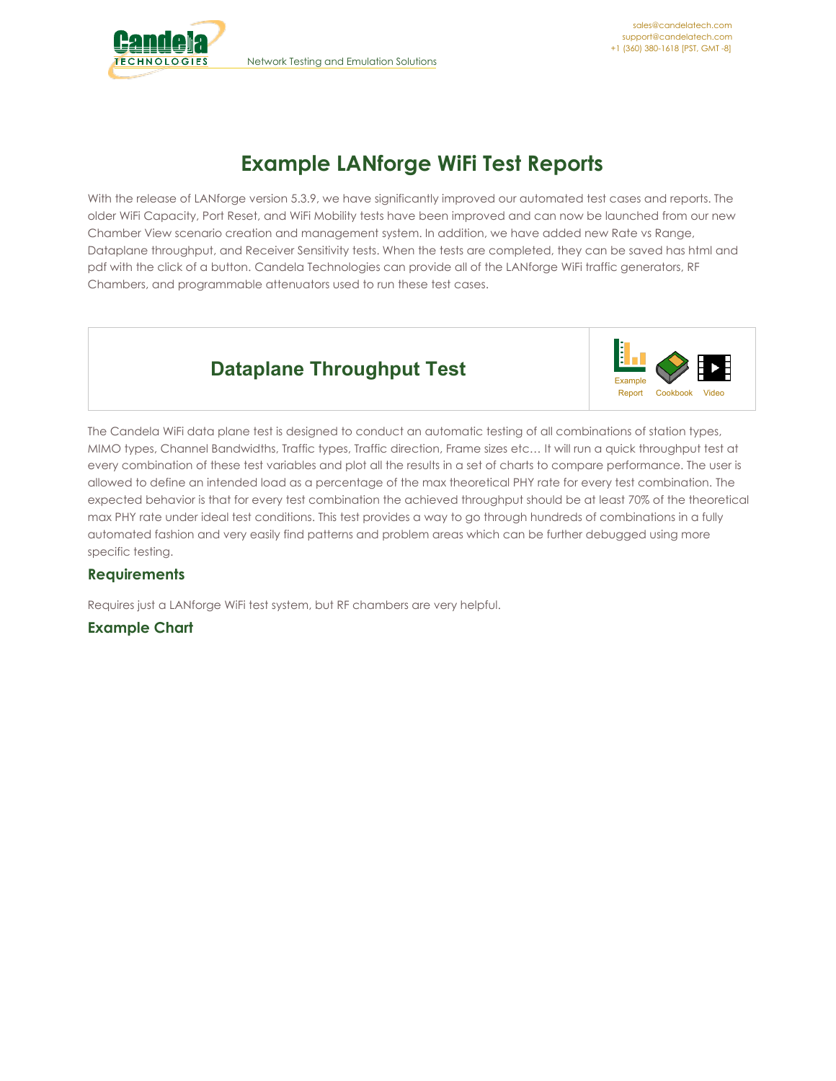



# **Example LANforge WiFi Test Reports**

With the release of LANforge version 5.3.9, we have significantly improved our automated test cases and reports. The older WiFi Capacity, Port Reset, and WiFi Mobility tests have been improved and can now be launched from our new Chamber View scenario creation and management system. In addition, we have added new Rate vs Range, Dataplane throughput, and Receiver Sensitivity tests. When the tests are completed, they can be saved has html and pdf with the click of a button. Candela Technologies can provide all of the LANforge WiFi traffic generators, RF Chambers, and programmable attenuators used to run these test cases.

# **Dataplane Throughput Test**



The Candela WiFi data plane test is designed to conduct an automatic testing of all combinations of station types, MIMO types, Channel Bandwidths, Traffic types, Traffic direction, Frame sizes etc… It will run a quick throughput test at every combination of these test variables and plot all the results in a set of charts to compare performance. The user is allowed to define an intended load as a percentage of the max theoretical PHY rate for every test combination. The expected behavior is that for every test combination the achieved throughput should be at least 70% of the theoretical max PHY rate under ideal test conditions. This test provides a way to go through hundreds of combinations in a fully automated fashion and very easily find patterns and problem areas which can be further debugged using more specific testing.

## **Requirements**

Requires just a LANforge WiFi test system, but RF chambers are very helpful.

**Example Chart**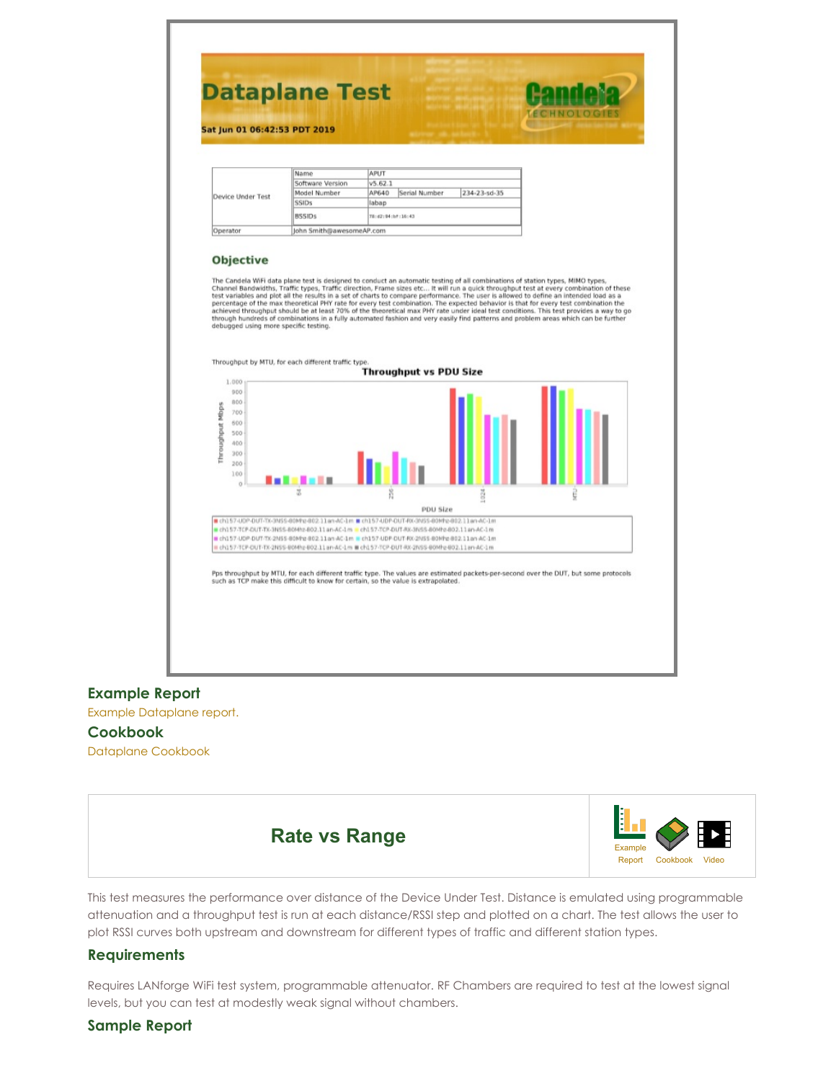

#### **Example Report**

Example [Dataplane](http://www.candelatech.com/examples/dataplane-report-2019-06-01-06-34-54.pdf) report.

#### **Cookbook**

[Dataplane](http://www.candelatech.com/cookbook.php?vol=wifire&book=dataplane) Cookbook



This test measures the performance over distance of the Device Under Test. Distance is emulated using programmable attenuation and a throughput test is run at each distance/RSSI step and plotted on a chart. The test allows the user to plot RSSI curves both upstream and downstream for different types of traffic and different station types.

#### **Requirements**

Requires LANforge WiFi test system, programmable attenuator. RF Chambers are required to test at the lowest signal levels, but you can test at modestly weak signal without chambers.

#### **Sample Report**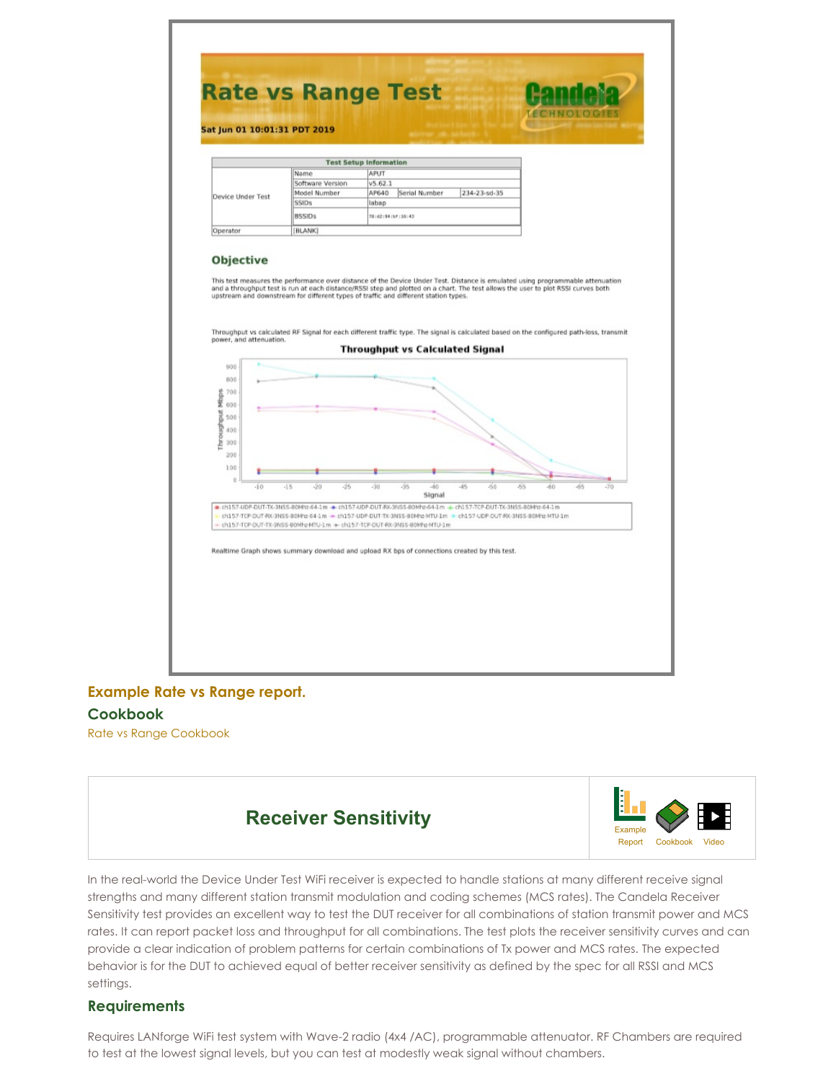

# **[Example](http://www.candelatech.com/examples/rate-vs-range-report-2019-06-01-09-23-55.pdf) Rate vs Range report.**

#### **Cookbook**

Rate vs Range [Cookbook](http://www.candelatech.com/cookbook.php?vol=wifire&book=rate-vs-range)



In the real-world the Device Under Test WiFi receiver is expected to handle stations at many different receive signal strengths and many different station transmit modulation and coding schemes (MCS rates). The Candela Receiver Sensitivity test provides an excellent way to test the DUT receiver for all combinations of station transmit power and MCS rates. It can report packet loss and throughput for all combinations. The test plots the receiver sensitivity curves and can provide a clear indication of problem patterns for certain combinations of Tx power and MCS rates. The expected behavior is for the DUT to achieved equal of better receiver sensitivity as defined by the spec for all RSSI and MCS settings.

### **Requirements**

Requires LANforge WiFi test system with Wave-2 radio (4x4 /AC), programmable attenuator. RF Chambers are required to test at the lowest signal levels, but you can test at modestly weak signal without chambers.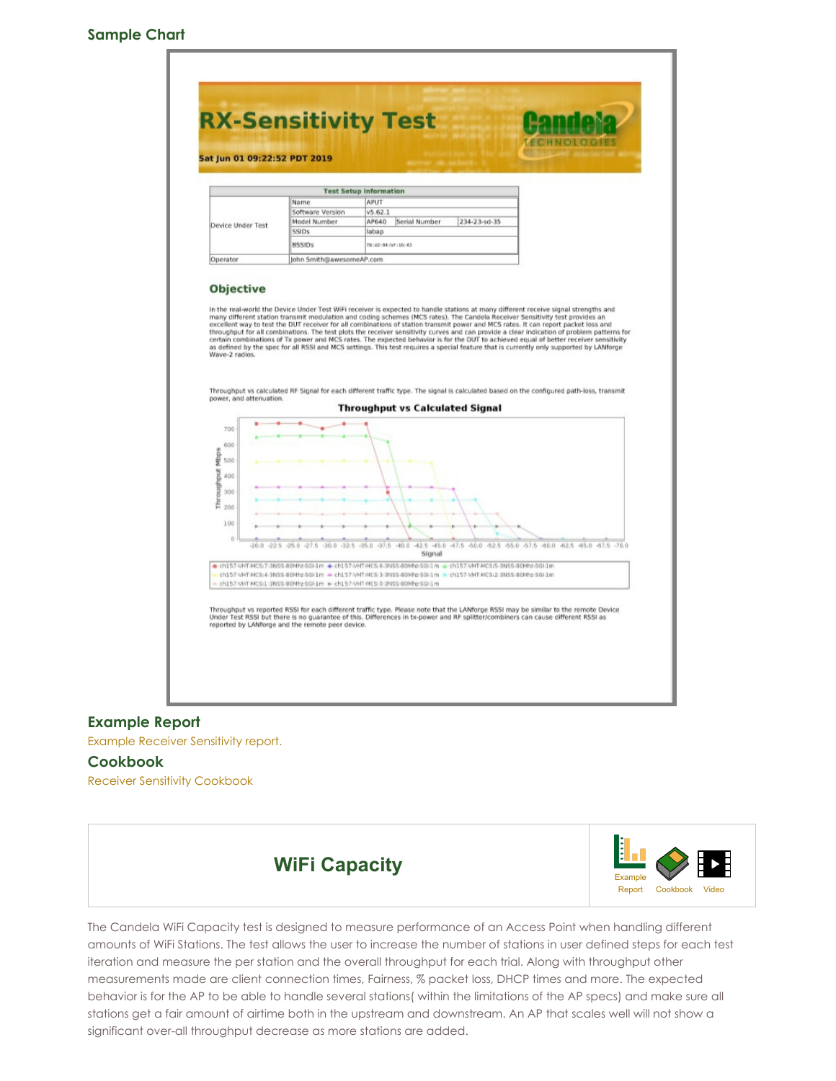#### **Sample Chart**



#### **Example Report**

Example Receiver [Sensitivity](http://www.candelatech.com/examples/rx-sensitivity-report-2019-06-01-08-37-04.pdf) report.

#### **Cookbook**

Receiver Sensitivity [Cookbook](http://www.candelatech.com/cookbook.php?vol=wifire&book=rxsens)



The Candela WiFi Capacity test is designed to measure performance of an Access Point when handling different amounts of WiFi Stations. The test allows the user to increase the number of stations in user defined steps for each test iteration and measure the per station and the overall throughput for each trial. Along with throughput other measurements made are client connection times, Fairness, % packet loss, DHCP times and more. The expected behavior is for the AP to be able to handle several stations( within the limitations of the AP specs) and make sure all stations get a fair amount of airtime both in the upstream and downstream. An AP that scales well will not show a significant over-all throughput decrease as more stations are added.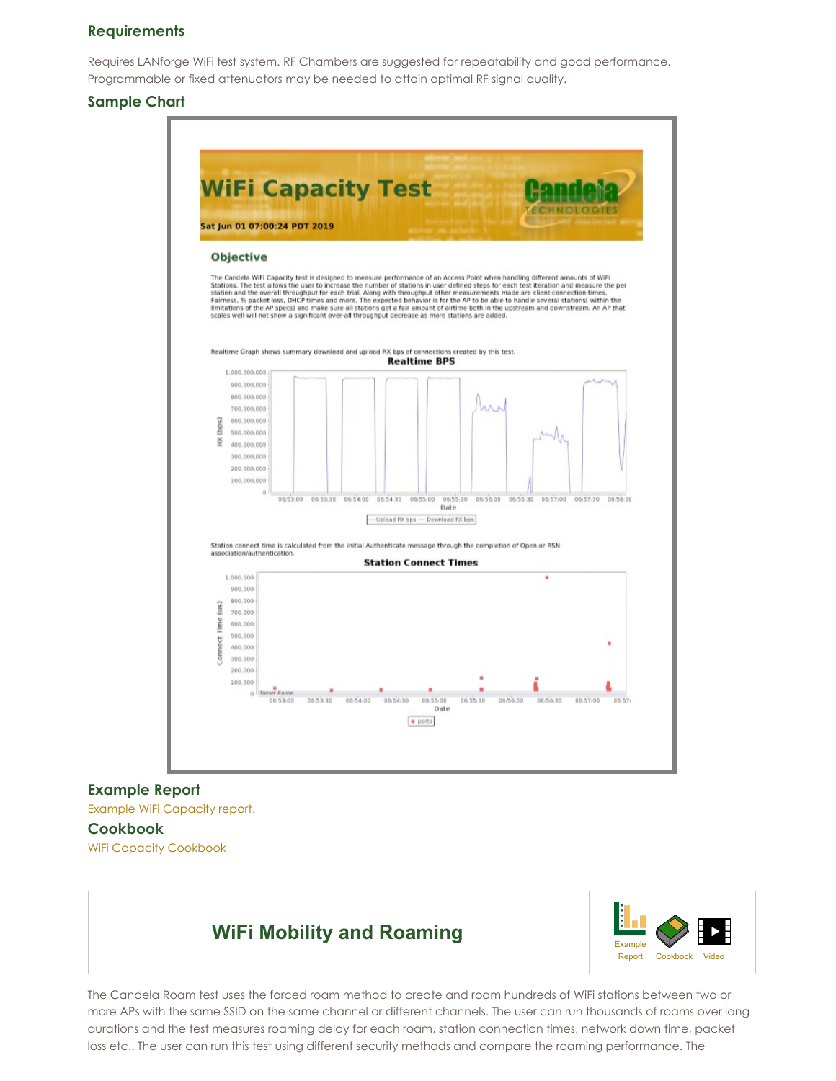#### **Requirements**

Requires LANforge WiFi test system. RF Chambers are suggested for repeatability and good performance. Programmable or fixed attenuators may be needed to attain optimal RF signal quality.

#### **Sample Chart**



#### **Example Report**

Example WiFi [Capacity](http://www.candelatech.com/examples/wifi-capacity-report-2019-06-01-01-16-49.pdf) report.

#### **Cookbook**

WiFi Capacity [Cookbook](http://www.candelatech.com/cookbook.php?vol=wifire&book=wifi-capacity-cv)

# **WiFi Mobility and Roaming**



The Candela Roam test uses the forced roam method to create and roam hundreds of WiFi stations between two or more APs with the same SSID on the same channel or different channels. The user can run thousands of roams over long durations and the test measures roaming delay for each roam, station connection times, network down time, packet loss etc.. The user can run this test using different security methods and compare the roaming performance. The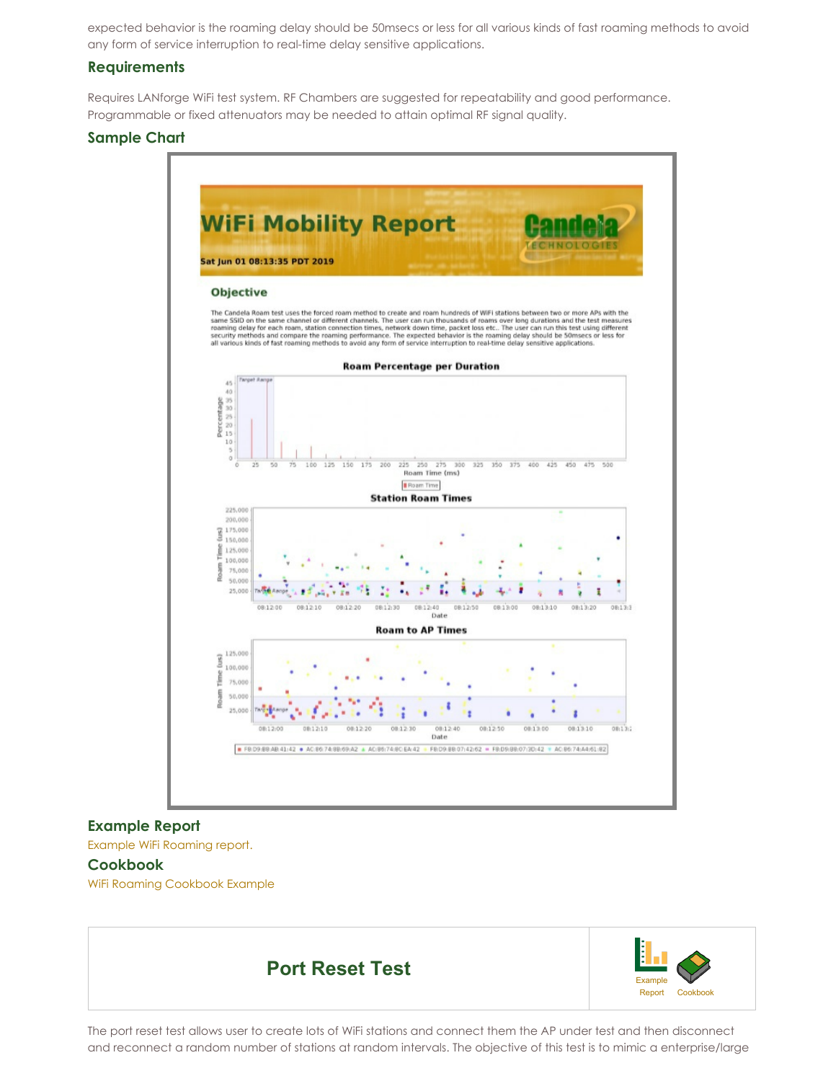expected behavior is the roaming delay should be 50msecs or less for all various kinds of fast roaming methods to avoid any form of service interruption to real-time delay sensitive applications.

#### **Requirements**

Requires LANforge WiFi test system. RF Chambers are suggested for repeatability and good performance. Programmable or fixed attenuators may be needed to attain optimal RF signal quality.

### **Sample Chart**



## **Example Report**

Example WiFi [Roaming](http://www.candelatech.com/examples/wifi-mobility-report-2019-06-07-07-43-44.pdf) report.

#### **Cookbook**

WiFi Roaming [Cookbook](http://www.candelatech.com/cookbook.php?vol=wifire&book=wifi-roam-cv) Example



The port reset test allows user to create lots of WiFi stations and connect them the AP under test and then disconnect and reconnect a random number of stations at random intervals. The objective of this test is to mimic a enterprise/large